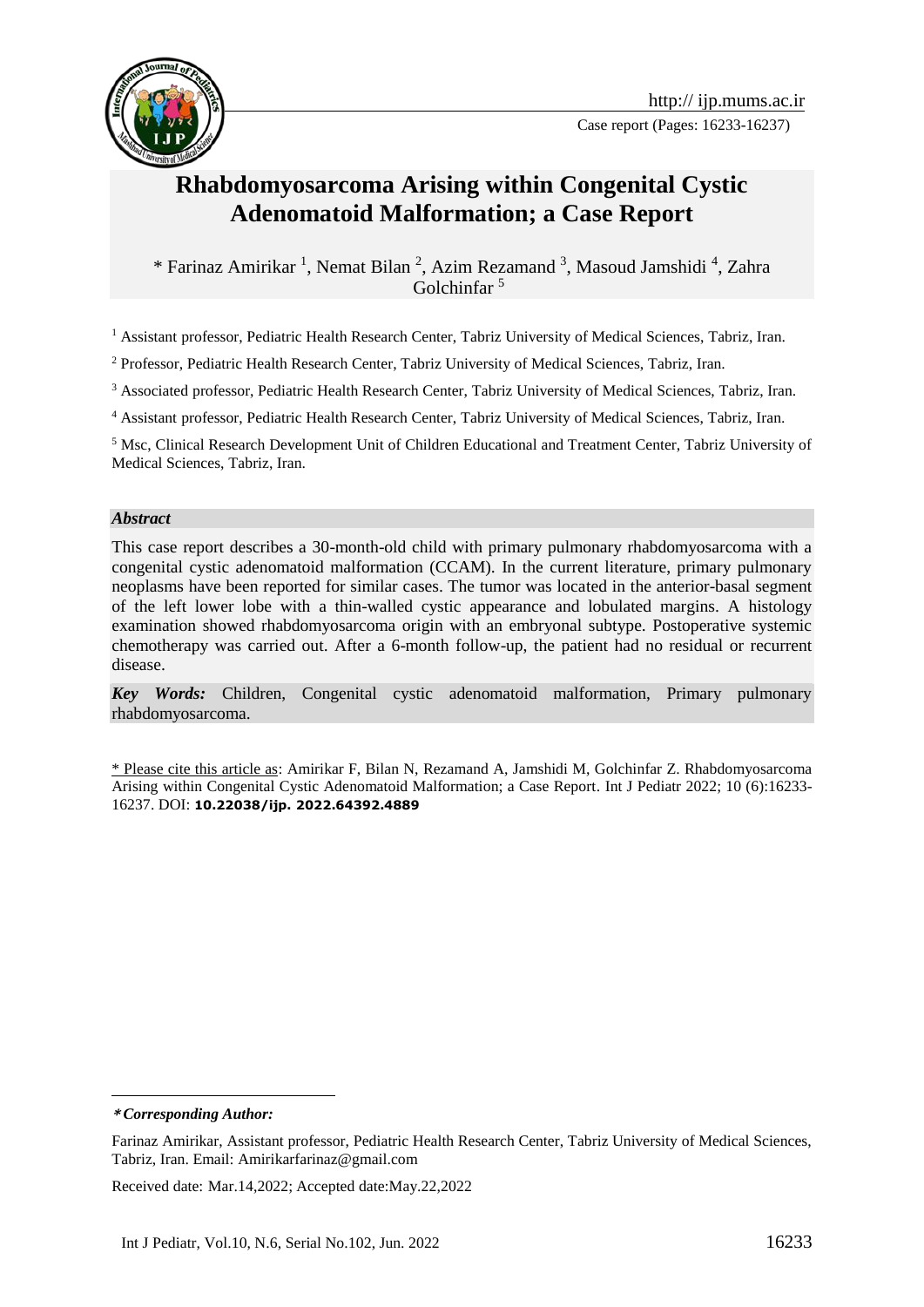

Case report (Pages: 16233-16237)

# **Rhabdomyosarcoma Arising within Congenital Cystic Adenomatoid Malformation; a Case Report**

\* Farinaz Amirikar<sup>1</sup>, Nemat Bilan<sup>2</sup>, Azim Rezamand<sup>3</sup>, Masoud Jamshidi<sup>4</sup>, Zahra Golchinfar <sup>5</sup>**<sup>1</sup>**

<sup>1</sup> Assistant professor, Pediatric Health Research Center, Tabriz University of Medical Sciences, Tabriz, Iran.

<sup>2</sup> Professor, Pediatric Health Research Center, Tabriz University of Medical Sciences, Tabriz, Iran.

<sup>3</sup> Associated professor, Pediatric Health Research Center, Tabriz University of Medical Sciences, Tabriz, Iran.

<sup>4</sup> Assistant professor, Pediatric Health Research Center, Tabriz University of Medical Sciences, Tabriz, Iran.

<sup>5</sup> Msc, Clinical Research Development Unit of Children Educational and Treatment Center, Tabriz University of Medical Sciences, Tabriz, Iran.

#### *Abstract*

This case report describes a 30-month-old child with primary pulmonary rhabdomyosarcoma with a congenital cystic adenomatoid malformation (CCAM). In the current literature, primary pulmonary neoplasms have been reported for similar cases. The tumor was located in the anterior-basal segment of the left lower lobe with a thin-walled cystic appearance and lobulated margins. A histology examination showed rhabdomyosarcoma origin with an embryonal subtype. Postoperative systemic chemotherapy was carried out. After a 6-month follow-up, the patient had no residual or recurrent disease.

*Key Words:* Children, Congenital cystic adenomatoid malformation, Primary pulmonary rhabdomyosarcoma.

\* Please cite this article as: Amirikar F, Bilan N, Rezamand A, Jamshidi M, Golchinfar Z. Rhabdomyosarcoma Arising within Congenital Cystic Adenomatoid Malformation; a Case Report. Int J Pediatr 2022; 10 (6):16233- 16237. DOI: **10.22038/ijp. 2022.64392.4889**

**\*** *Corresponding Author:*

1

Received date: Mar.14,2022; Accepted date:May.22,2022

Farinaz Amirikar, Assistant professor, Pediatric Health Research Center, Tabriz University of Medical Sciences, Tabriz, Iran. Email: Amirikarfarinaz@gmail.com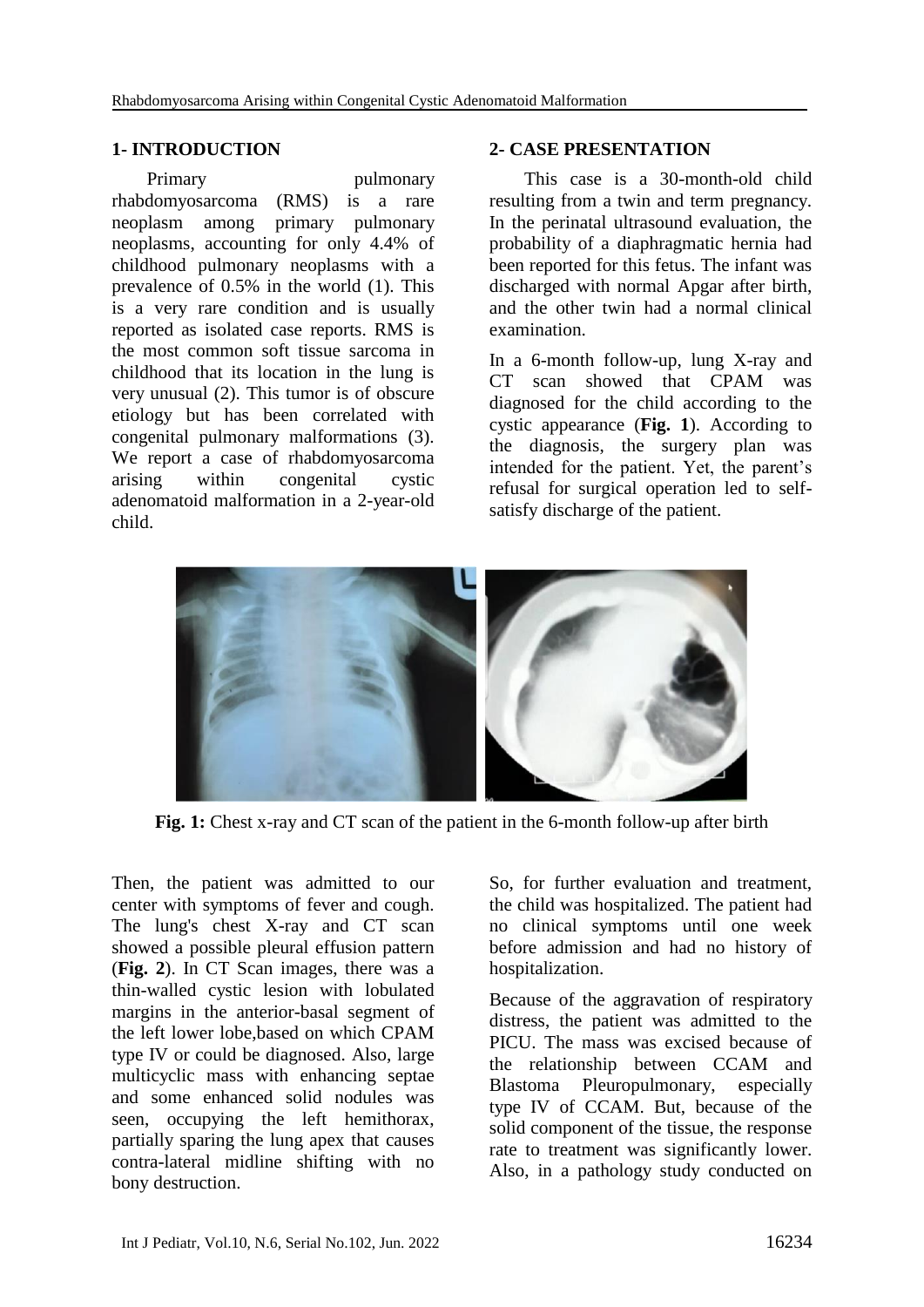#### **1- INTRODUCTION**

Primary pulmonary rhabdomyosarcoma (RMS) is a rare neoplasm among primary pulmonary neoplasms, accounting for only 4.4% of childhood pulmonary neoplasms with a prevalence of 0.5% in the world (1). This is a very rare condition and is usually reported as isolated case reports. RMS is the most common soft tissue sarcoma in childhood that its location in the lung is very unusual (2). This tumor is of obscure etiology but has been correlated with congenital pulmonary malformations (3). We report a case of rhabdomyosarcoma arising within congenital cystic adenomatoid malformation in a 2-year-old child.

#### **2- CASE PRESENTATION**

This case is a 30-month-old child resulting from a twin and term pregnancy. In the perinatal ultrasound evaluation, the probability of a diaphragmatic hernia had been reported for this fetus. The infant was discharged with normal Apgar after birth, and the other twin had a normal clinical examination.

In a 6-month follow-up, lung X-ray and CT scan showed that CPAM was diagnosed for the child according to the cystic appearance (**Fig. 1**). According to the diagnosis, the surgery plan was intended for the patient. Yet, the parent's refusal for surgical operation led to selfsatisfy discharge of the patient.



**Fig. 1:** Chest x-ray and CT scan of the patient in the 6-month follow-up after birth

Then, the patient was admitted to our center with symptoms of fever and cough. The lung's chest X-ray and CT scan showed a possible pleural effusion pattern (**Fig. 2**). In CT Scan images, there was a thin-walled cystic lesion with lobulated margins in the anterior-basal segment of the left lower lobe,based on which CPAM type IV or could be diagnosed. Also, large multicyclic mass with enhancing septae and some enhanced solid nodules was seen, occupying the left hemithorax, partially sparing the lung apex that causes contra-lateral midline shifting with no bony destruction.

So, for further evaluation and treatment, the child was hospitalized. The patient had no clinical symptoms until one week before admission and had no history of hospitalization.

Because of the aggravation of respiratory distress, the patient was admitted to the PICU. The mass was excised because of the relationship between CCAM and Blastoma Pleuropulmonary, especially type IV of CCAM. But, because of the solid component of the tissue, the response rate to treatment was significantly lower. Also, in a pathology study conducted on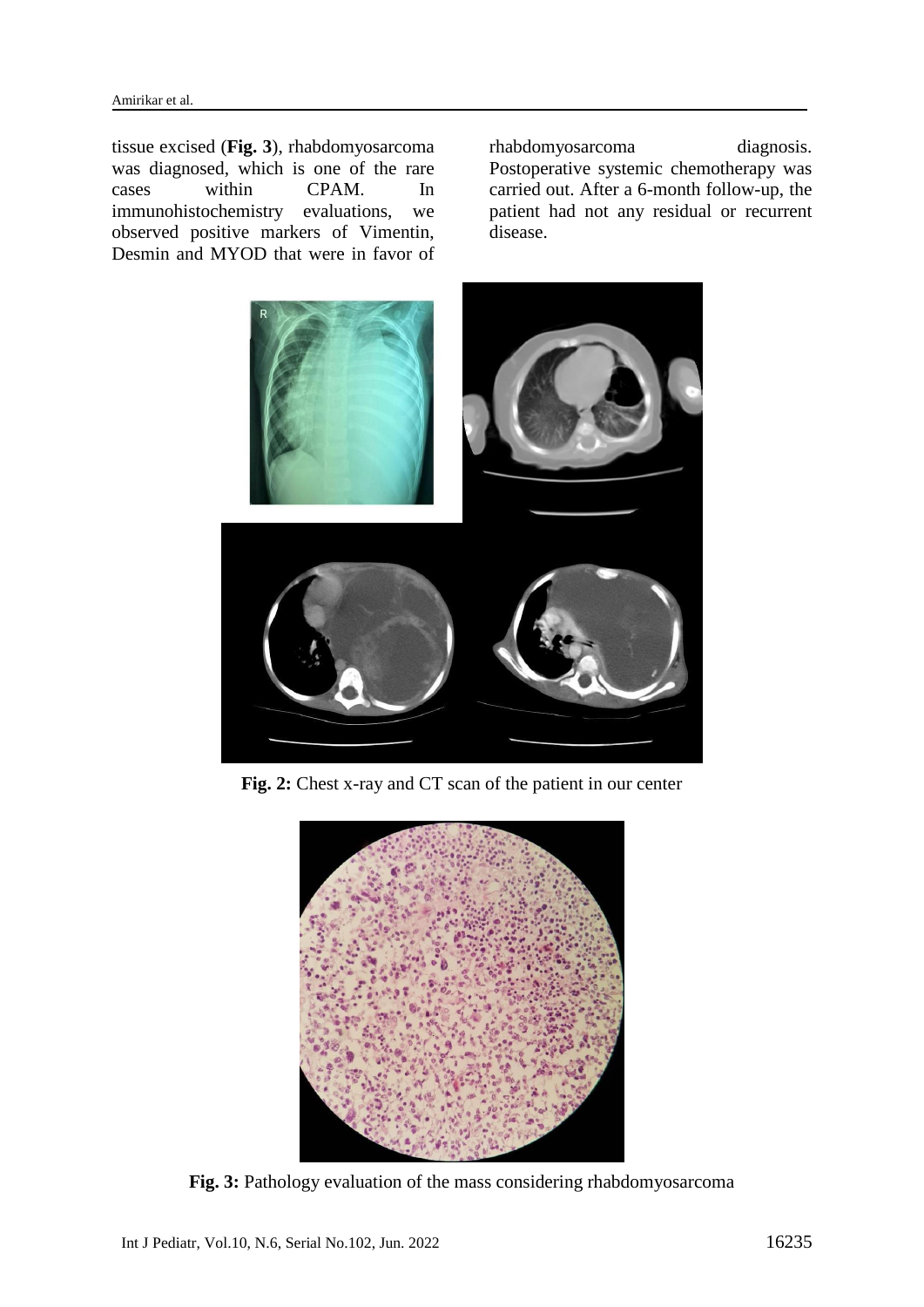tissue excised (**Fig. 3**), rhabdomyosarcoma was diagnosed, which is one of the rare cases within CPAM. In immunohistochemistry evaluations, we observed positive markers of Vimentin, Desmin and MYOD that were in favor of

rhabdomyosarcoma diagnosis. Postoperative systemic chemotherapy was carried out. After a 6-month follow-up, the patient had not any residual or recurrent disease.



**Fig. 2:** Chest x-ray and CT scan of the patient in our center



**Fig. 3:** Pathology evaluation of the mass considering rhabdomyosarcoma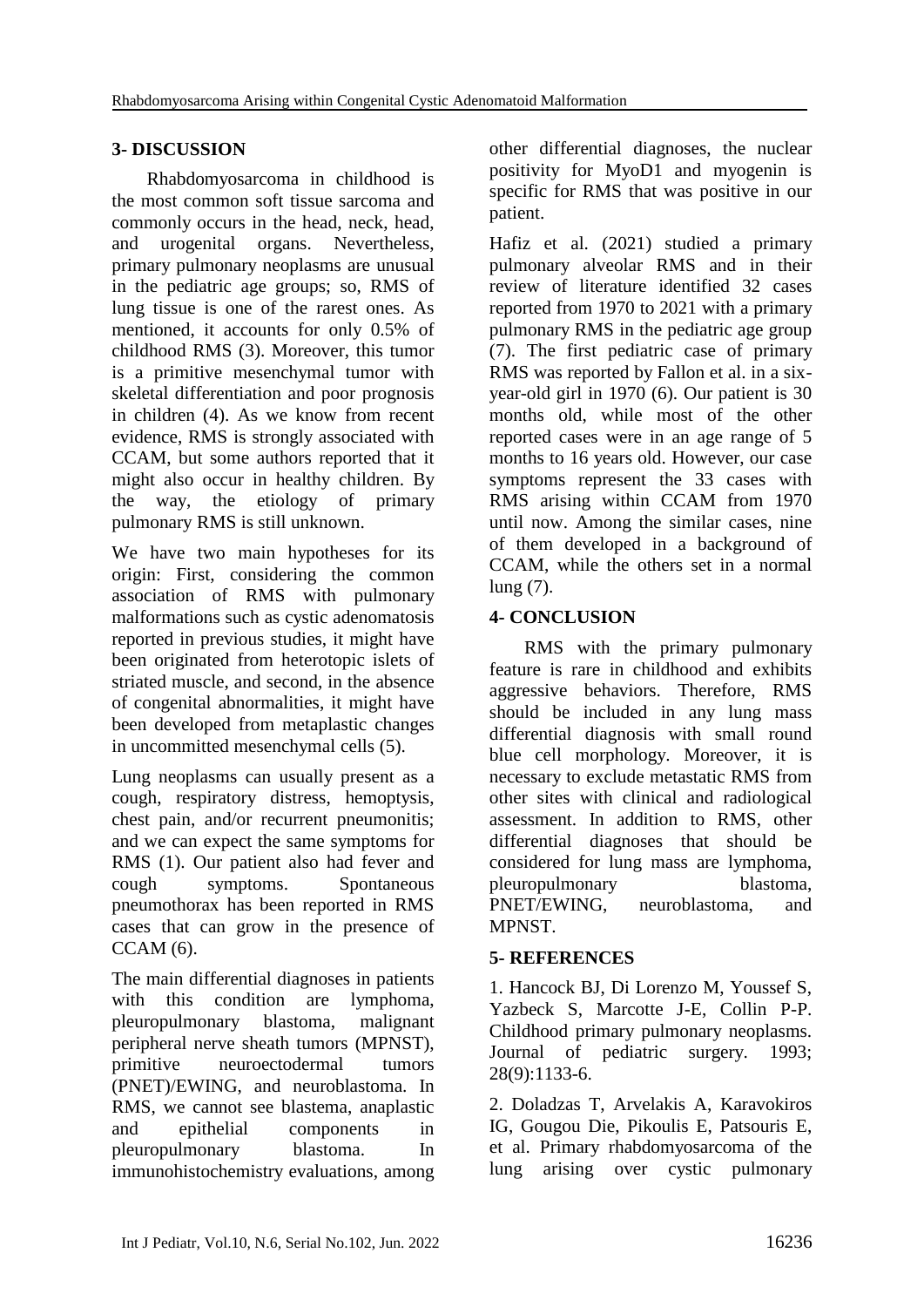## **3- DISCUSSION**

Rhabdomyosarcoma in childhood is the most common soft tissue sarcoma and commonly occurs in the head, neck, head, and urogenital organs. Nevertheless, primary pulmonary neoplasms are unusual in the pediatric age groups; so, RMS of lung tissue is one of the rarest ones. As mentioned, it accounts for only 0.5% of childhood RMS (3). Moreover, this tumor is a primitive mesenchymal tumor with skeletal differentiation and poor prognosis in children (4). As we know from recent evidence, RMS is strongly associated with CCAM, but some authors reported that it might also occur in healthy children. By the way, the etiology of primary pulmonary RMS is still unknown.

We have two main hypotheses for its origin: First, considering the common association of RMS with pulmonary malformations such as cystic adenomatosis reported in previous studies, it might have been originated from heterotopic islets of striated muscle, and second, in the absence of congenital abnormalities, it might have been developed from metaplastic changes in uncommitted mesenchymal cells (5).

Lung neoplasms can usually present as a cough, respiratory distress, hemoptysis, chest pain, and/or recurrent pneumonitis; and we can expect the same symptoms for RMS (1). Our patient also had fever and cough symptoms. Spontaneous pneumothorax has been reported in RMS cases that can grow in the presence of CCAM (6).

The main differential diagnoses in patients with this condition are lymphoma, pleuropulmonary blastoma, malignant peripheral nerve sheath tumors (MPNST), primitive neuroectodermal tumors (PNET)/EWING, and neuroblastoma. In RMS, we cannot see blastema, anaplastic and epithelial components in pleuropulmonary blastoma. In immunohistochemistry evaluations, among

other differential diagnoses, the nuclear positivity for MyoD1 and myogenin is specific for RMS that was positive in our patient.

Hafiz et al. (2021) studied a primary pulmonary alveolar RMS and in their review of literature identified 32 cases reported from 1970 to 2021 with a primary pulmonary RMS in the pediatric age group (7). The first pediatric case of primary RMS was reported by Fallon et al. in a sixyear-old girl in 1970 (6). Our patient is 30 months old, while most of the other reported cases were in an age range of 5 months to 16 years old. However, our case symptoms represent the 33 cases with RMS arising within CCAM from 1970 until now. Among the similar cases, nine of them developed in a background of CCAM, while the others set in a normal lung (7).

## **4- CONCLUSION**

RMS with the primary pulmonary feature is rare in childhood and exhibits aggressive behaviors. Therefore, RMS should be included in any lung mass differential diagnosis with small round blue cell morphology. Moreover, it is necessary to exclude metastatic RMS from other sites with clinical and radiological assessment. In addition to RMS, other differential diagnoses that should be considered for lung mass are lymphoma, pleuropulmonary blastoma, PNET/EWING, neuroblastoma, and MPNST.

### **5- REFERENCES**

1. Hancock BJ, Di Lorenzo M, Youssef S, Yazbeck S, Marcotte J-E, Collin P-P. Childhood primary pulmonary neoplasms. Journal of pediatric surgery. 1993; 28(9):1133-6.

2. Doladzas T, Arvelakis A, Karavokiros IG, Gougou Die, Pikoulis E, Patsouris E, et al. Primary rhabdomyosarcoma of the lung arising over cystic pulmonary